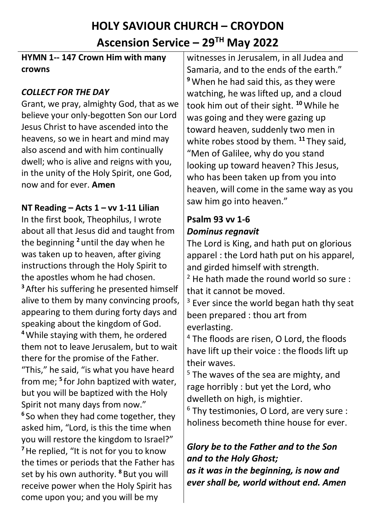# **HOLY SAVIOUR CHURCH – CROYDON Ascension Service – 29TH May 2022**

#### **HYMN 1-- 147 Crown Him with many crowns**

# *COLLECT FOR THE DAY*

Grant, we pray, almighty God, that as we believe your only-begotten Son our Lord Jesus Christ to have ascended into the heavens, so we in heart and mind may also ascend and with him continually dwell; who is alive and reigns with you, in the unity of the Holy Spirit, one God, now and for ever. **Amen**

# **NT Reading – Acts 1 – vv 1-11 Lilian**

In the first book, Theophilus, I wrote about all that Jesus did and taught from the beginning **<sup>2</sup>** until the day when he was taken up to heaven, after giving instructions through the Holy Spirit to the apostles whom he had chosen. **<sup>3</sup>**After his suffering he presented himself alive to them by many convincing proofs, appearing to them during forty days and speaking about the kingdom of God. **<sup>4</sup>**While staying with them, he ordered them not to leave Jerusalem, but to wait there for the promise of the Father. "This," he said, "is what you have heard from me; **<sup>5</sup>** for John baptized with water, but you will be baptized with the Holy Spirit not many days from now." **6** So when they had come together, they asked him, "Lord, is this the time when you will restore the kingdom to Israel?" **<sup>7</sup>**He replied, "It is not for you to know the times or periods that the Father has set by his own authority. **<sup>8</sup>** But you will receive power when the Holy Spirit has come upon you; and you will be my

witnesses in Jerusalem, in all Judea and Samaria, and to the ends of the earth." **<sup>9</sup>** When he had said this, as they were watching, he was lifted up, and a cloud took him out of their sight. **<sup>10</sup>**While he was going and they were gazing up toward heaven, suddenly two men in white robes stood by them. **<sup>11</sup>** They said, "Men of Galilee, why do you stand looking up toward heaven? This Jesus, who has been taken up from you into heaven, will come in the same way as you saw him go into heaven."

#### **Psalm 93 vv 1-6** *Dominus regnavit*

The Lord is King, and hath put on glorious apparel : the Lord hath put on his apparel, and girded himself with strength.

 $2$  He hath made the round world so sure : that it cannot be moved.

 $3$  Ever since the world began hath thy seat been prepared : thou art from everlasting.

<sup>4</sup> The floods are risen, O Lord, the floods have lift up their voice : the floods lift up their waves.

 $5$  The waves of the sea are mighty, and rage horribly : but yet the Lord, who dwelleth on high, is mightier.

 $6$  Thy testimonies, O Lord, are very sure : holiness becometh thine house for ever.

# *Glory be to the Father and to the Son and to the Holy Ghost;*

*as it was in the beginning, is now and ever shall be, world without end. Amen*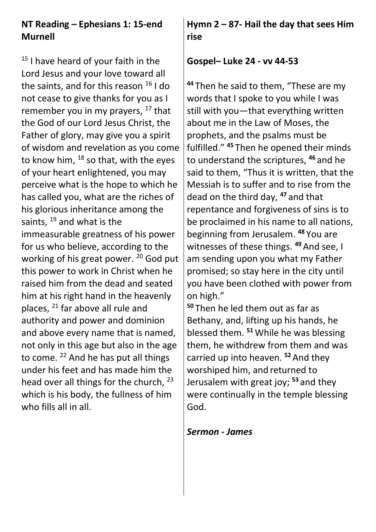# **NT Reading – Ephesians 1: 15-end Murnell**

 $15$  I have heard of your faith in the Lord Jesus and your love toward all the saints, and for this reason  $16$  I do not cease to give thanks for you as I remember you in my prayers,  $17$  that the God of our Lord Jesus Christ, the Father of glory, may give you a spirit of wisdom and revelation as you come to know him,  $^{18}$  so that, with the eyes of your heart enlightened, you may perceive what is the hope to which he has called you, what are the riches of his glorious inheritance among the saints,  $19$  and what is the immeasurable greatness of his power for us who believe, according to the working of his great power. <sup>20</sup> God put this power to work in Christ when he raised him from the dead and seated him at his right hand in the heavenly places, <sup>21</sup> far above all rule and authority and power and dominion and above every name that is named, not only in this age but also in the age to come. <sup>22</sup> And he has put all things under his feet and has made him the head over all things for the church, <sup>23</sup> which is his body, the fullness of him who fills all in all.

**Hymn 2 – 87- Hail the day that sees Him rise**

#### **Gospel– Luke 24 - vv 44-53**

**<sup>44</sup>** Then he said to them, "These are my words that I spoke to you while I was still with you—that everything written about me in the Law of Moses, the prophets, and the psalms must be fulfilled." **<sup>45</sup>** Then he opened their minds to understand the scriptures, **<sup>46</sup>** and he said to them, "Thus it is written, that the Messiah is to suffer and to rise from the dead on the third day, **<sup>47</sup>** and that repentance and forgiveness of sins is to be proclaimed in his name to all nations, beginning from Jerusalem. **<sup>48</sup>** You are witnesses of these things. **<sup>49</sup>**And see, I am sending upon you what my Father promised; so stay here in the city until you have been clothed with power from on high."

**<sup>50</sup>** Then he led them out as far as Bethany, and, lifting up his hands, he blessed them. **<sup>51</sup>**While he was blessing them, he withdrew from them and was carried up into heaven. **<sup>52</sup>**And they worshiped him, and returned to Jerusalem with great joy; **<sup>53</sup>** and they were continually in the temple blessing God.

#### *Sermon - James*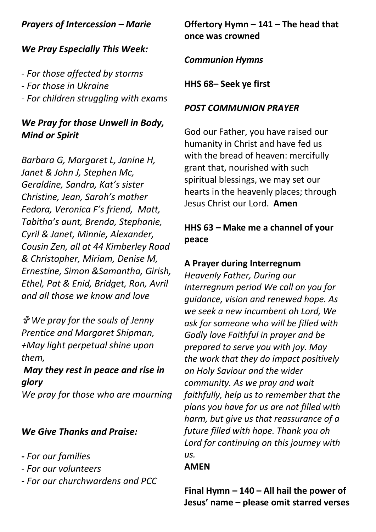# *Prayers of Intercession – Marie*

#### *We Pray Especially This Week:*

- *- For those affected by storms*
- *- For those in Ukraine*
- *- For children struggling with exams*

# *We Pray for those Unwell in Body, Mind or Spirit*

*Barbara G, Margaret L, Janine H, Janet & John J, Stephen Mc, Geraldine, Sandra, Kat's sister Christine, Jean, Sarah's mother Fedora, Veronica F's friend, Matt, Tabitha's aunt, Brenda, Stephanie, Cyril & Janet, Minnie, Alexander, Cousin Zen, all at 44 Kimberley Road & Christopher, Miriam, Denise M, Ernestine, Simon &Samantha, Girish, Ethel, Pat & Enid, Bridget, Ron, Avril and all those we know and love* 

 *We pray for the souls of Jenny Prentice and Margaret Shipman, +May light perpetual shine upon them,* 

# *May they rest in peace and rise in glory*

*We pray for those who are mourning*

#### *We Give Thanks and Praise:*

- *- For our families*
- *- For our volunteers*
- *- For our churchwardens and PCC*

#### **Offertory Hymn – 141 – The head that once was crowned**

*Communion Hymns*

**HHS 68– Seek ye first**

## *POST COMMUNION PRAYER*

God our Father, you have raised our humanity in Christ and have fed us with the bread of heaven: mercifully grant that, nourished with such spiritual blessings, we may set our hearts in the heavenly places; through Jesus Christ our Lord. **Amen**

# **HHS 63 – Make me a channel of your peace**

## **A Prayer during Interregnum**

*Heavenly Father, During our Interregnum period We call on you for guidance, vision and renewed hope. As we seek a new incumbent oh Lord, We ask for someone who will be filled with Godly love Faithful in prayer and be prepared to serve you with joy. May the work that they do impact positively on Holy Saviour and the wider community. As we pray and wait faithfully, help us to remember that the plans you have for us are not filled with harm, but give us that reassurance of a future filled with hope. Thank you oh Lord for continuing on this journey with us.*

#### **AMEN**

**Final Hymn – 140 – All hail the power of Jesus' name – please omit starred verses**